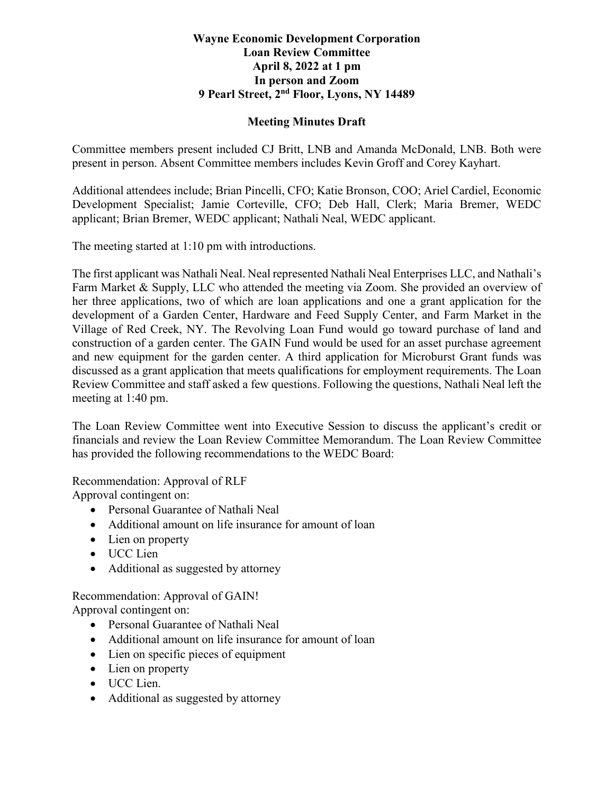## **Wayne Economic Development Corporation Loan Review Committee April 8, 2022 at 1 pm In person and Zoom 9 Pearl Street, 2nd Floor, Lyons, NY 14489**

## **Meeting Minutes Draft**

Committee members present included CJ Britt, LNB and Amanda McDonald, LNB. Both were present in person. Absent Committee members includes Kevin Groff and Corey Kayhart.

Additional attendees include; Brian Pincelli, CFO; Katie Bronson, COO; Ariel Cardiel, Economic Development Specialist; Jamie Corteville, CFO; Deb Hall, Clerk; Maria Bremer, WEDC applicant; Brian Bremer, WEDC applicant; Nathali Neal, WEDC applicant.

The meeting started at 1:10 pm with introductions.

The first applicant was Nathali Neal. Neal represented Nathali Neal Enterprises LLC, and Nathali's Farm Market & Supply, LLC who attended the meeting via Zoom. She provided an overview of her three applications, two of which are loan applications and one a grant application for the development of a Garden Center, Hardware and Feed Supply Center, and Farm Market in the Village of Red Creek, NY. The Revolving Loan Fund would go toward purchase of land and construction of a garden center. The GAIN Fund would be used for an asset purchase agreement and new equipment for the garden center. A third application for Microburst Grant funds was discussed as a grant application that meets qualifications for employment requirements. The Loan Review Committee and staff asked a few questions. Following the questions, Nathali Neal left the meeting at 1:40 pm.

The Loan Review Committee went into Executive Session to discuss the applicant's credit or financials and review the Loan Review Committee Memorandum. The Loan Review Committee has provided the following recommendations to the WEDC Board:

Recommendation: Approval of RLF

Approval contingent on:

- Personal Guarantee of Nathali Neal
- Additional amount on life insurance for amount of loan
- Lien on property
- UCC Lien
- Additional as suggested by attorney

Recommendation: Approval of GAIN! Approval contingent on:

- Personal Guarantee of Nathali Neal
- Additional amount on life insurance for amount of loan
- Lien on specific pieces of equipment
- Lien on property
- UCC Lien.
- Additional as suggested by attorney